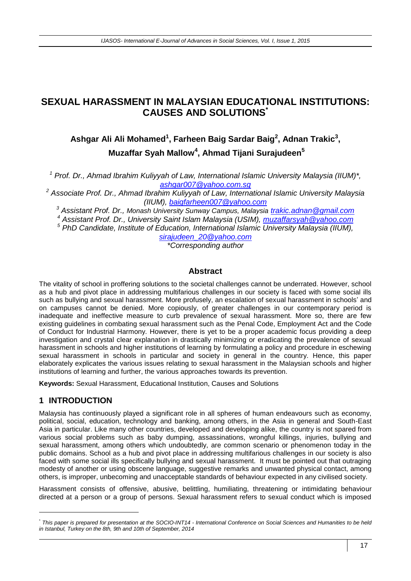## **SEXUAL HARASSMENT IN MALAYSIAN EDUCATIONAL INSTITUTIONS: CAUSES AND SOLUTIONS\***

# **Ashgar Ali Ali Mohamed<sup>1</sup> , Farheen Baig Sardar Baig<sup>2</sup> , Adnan Trakic<sup>3</sup> , Muzaffar Syah Mallow<sup>4</sup> , Ahmad Tijani Surajudeen<sup>5</sup>**

*<sup>1</sup> Prof. Dr., Ahmad Ibrahim Kuliyyah of Law, International Islamic University Malaysia (IIUM)\*, [ashgar007@yahoo.com.sg](mailto:ashgar007@yahoo.com.sg)*

*<sup>2</sup> Associate Prof. Dr., Ahmad Ibrahim Kuliyyah of Law, International Islamic University Malaysia (IIUM), [baigfarheen007@yahoo.com](mailto:baigfarheen007@yahoo.com)*

*<sup>3</sup> Assistant Prof. Dr., Monash University Sunway Campus, Malaysia [trakic.adnan@gmail.com](mailto:trakic.adnan@gmail.com)*

*<sup>4</sup> Assistant Prof. Dr., University Saint Islam Malaysia (USIM), [muzaffarsyah@yahoo.com](mailto:muzaffarsyah@yahoo.com)*

*<sup>5</sup> PhD Candidate, Institute of Education, International Islamic University Malaysia (IIUM),* 

*[sirajudeen\\_20@yahoo.com](mailto:sirajudeen_20@yahoo.com)*

*\*Corresponding author*

#### **Abstract**

The vitality of school in proffering solutions to the societal challenges cannot be underrated. However, school as a hub and pivot place in addressing multifarious challenges in our society is faced with some social ills such as bullying and sexual harassment. More profusely, an escalation of sexual harassment in schools' and on campuses cannot be denied. More copiously, of greater challenges in our contemporary period is inadequate and ineffective measure to curb prevalence of sexual harassment. More so, there are few existing guidelines in combating sexual harassment such as the Penal Code, Employment Act and the Code of Conduct for Industrial Harmony. However, there is yet to be a proper academic focus providing a deep investigation and crystal clear explanation in drastically minimizing or eradicating the prevalence of sexual harassment in schools and higher institutions of learning by formulating a policy and procedure in eschewing sexual harassment in schools in particular and society in general in the country. Hence, this paper elaborately explicates the various issues relating to sexual harassment in the Malaysian schools and higher institutions of learning and further, the various approaches towards its prevention.

**Keywords:** Sexual Harassment, Educational Institution, Causes and Solutions

## **1 INTRODUCTION**

-

Malaysia has continuously played a significant role in all spheres of human endeavours such as economy, political, social, education, technology and banking, among others, in the Asia in general and South-East Asia in particular. Like many other countries, developed and developing alike, the country is not spared from various social problems such as baby dumping, assassinations, wrongful killings, injuries, bullying and sexual harassment, among others which undoubtedly, are common scenario or phenomenon today in the public domains. School as a hub and pivot place in addressing multifarious challenges in our society is also faced with some social ills specifically bullying and sexual harassment. It must be pointed out that outraging modesty of another or using obscene language, suggestive remarks and unwanted physical contact, among others, is improper, unbecoming and unacceptable standards of behaviour expected in any civilised society.

Harassment consists of offensive, abusive, belittling, humiliating, threatening or intimidating behaviour directed at a person or a group of persons. Sexual harassment refers to sexual conduct which is imposed

<sup>\*</sup> *This paper is prepared for presentation at the SOCIO-INT14 - International Conference on Social Sciences and Humanities to be held in Istanbul, Turkey on the 8th, 9th and 10th of September, 2014*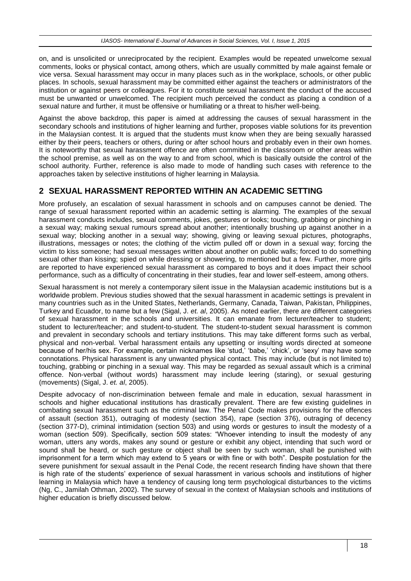on, and is unsolicited or unreciprocated by the recipient. Examples would be repeated unwelcome sexual comments, looks or physical contact, among others, which are usually committed by male against female or vice versa. Sexual harassment may occur in many places such as in the workplace, schools, or other public places. In schools, sexual harassment may be committed either against the teachers or administrators of the institution or against peers or colleagues. For it to constitute sexual harassment the conduct of the accused must be unwanted or unwelcomed. The recipient much perceived the conduct as placing a condition of a sexual nature and further, it must be offensive or humiliating or a threat to his/her well-being.

Against the above backdrop, this paper is aimed at addressing the causes of sexual harassment in the secondary schools and institutions of higher learning and further, proposes viable solutions for its prevention in the Malaysian contest. It is argued that the students must know when they are being sexually harassed either by their peers, teachers or others, during or after school hours and probably even in their own homes. It is noteworthy that sexual harassment offence are often committed in the classroom or other areas within the school premise, as well as on the way to and from school, which is basically outside the control of the school authority. Further, reference is also made to mode of handling such cases with reference to the approaches taken by selective institutions of higher learning in Malaysia.

## **2 SEXUAL HARASSMENT REPORTED WITHIN AN ACADEMIC SETTING**

More profusely, an escalation of sexual harassment in schools and on campuses cannot be denied. The range of sexual harassment reported within an academic setting is alarming. The examples of the sexual harassment conducts includes, sexual comments, jokes, gestures or looks; touching, grabbing or pinching in a sexual way; making sexual rumours spread about another; intentionally brushing up against another in a sexual way; blocking another in a sexual way; showing, giving or leaving sexual pictures, photographs, illustrations, messages or notes; the clothing of the victim pulled off or down in a sexual way; forcing the victim to kiss someone; had sexual messages written about another on public walls; forced to do something sexual other than kissing; spied on while dressing or showering, to mentioned but a few. Further, more girls are reported to have experienced sexual harassment as compared to boys and it does impact their school performance, such as a difficulty of concentrating in their studies, fear and lower self-esteem, among others.

Sexual harassment is not merely a contemporary silent issue in the Malaysian academic institutions but is a worldwide problem. Previous studies showed that the sexual harassment in academic settings is prevalent in many countries such as in the United States, Netherlands, Germany, Canada, Taiwan, Pakistan, Philippines, Turkey and Ecuador, to name but a few (Sigal, J. *et. al*, 2005). As noted earlier, there are different categories of sexual harassment in the schools and universities. It can emanate from lecturer/teacher to student; student to lecturer/teacher; and student-to-student. The student-to-student sexual harassment is common and prevalent in secondary schools and tertiary institutions. This may take different forms such as verbal, physical and non-verbal. Verbal harassment entails any upsetting or insulting words directed at someone because of her/his sex. For example, certain nicknames like 'stud,' 'babe,' 'chick', or 'sexy' may have some connotations. Physical harassment is any unwanted physical contact. This may include (but is not limited to) touching, grabbing or pinching in a sexual way. This may be regarded as sexual assault which is a criminal offence. Non-verbal (without words) harassment may include leering (staring), or sexual gesturing (movements) (Sigal, J. *et. al*, 2005).

Despite advocacy of non-discrimination between female and male in education, sexual harassment in schools and higher educational institutions has drastically prevalent. There are few existing guidelines in combating sexual harassment such as the criminal law. The Penal Code makes provisions for the offences of assault (section 351), outraging of modesty (section 354), rape (section 376), outraging of decency (section 377-D), criminal intimidation (section 503) and using words or gestures to insult the modesty of a woman (section 509). Specifically, section 509 states: "Whoever intending to insult the modesty of any woman, utters any words, makes any sound or gesture or exhibit any object, intending that such word or sound shall be heard, or such gesture or object shall be seen by such woman, shall be punished with imprisonment for a term which may extend to 5 years or with fine or with both". Despite postulation for the severe punishment for sexual assault in the Penal Code, the recent research finding have shown that there is high rate of the students' experience of sexual harassment in various schools and institutions of higher learning in Malaysia which have a tendency of causing long term psychological disturbances to the victims (Ng, C., Jamilah Othman, 2002). The survey of sexual in the context of Malaysian schools and institutions of higher education is briefly discussed below.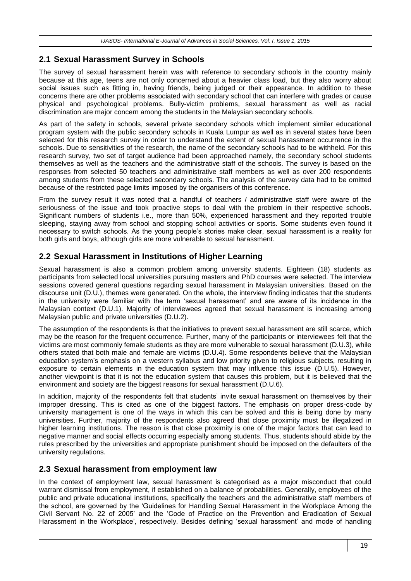## **2.1 Sexual Harassment Survey in Schools**

The survey of sexual harassment herein was with reference to secondary schools in the country mainly because at this age, teens are not only concerned about a heavier class load, but they also worry about social issues such as fitting in, having friends, being judged or their appearance. In addition to these concerns there are other problems associated with secondary school that can interfere with grades or cause physical and psychological problems. Bully-victim problems, sexual harassment as well as racial discrimination are major concern among the students in the Malaysian secondary schools.

As part of the safety in schools, several private secondary schools which implement similar educational program system with the public secondary schools in Kuala Lumpur as well as in several states have been selected for this research survey in order to understand the extent of sexual harassment occurrence in the schools. Due to sensitivities of the research, the name of the secondary schools had to be withheld. For this research survey, two set of target audience had been approached namely, the secondary school students themselves as well as the teachers and the administrative staff of the schools. The survey is based on the responses from selected 50 teachers and administrative staff members as well as over 200 respondents among students from these selected secondary schools. The analysis of the survey data had to be omitted because of the restricted page limits imposed by the organisers of this conference.

From the survey result it was noted that a handful of teachers / administrative staff were aware of the seriousness of the issue and took proactive steps to deal with the problem in their respective schools. Significant numbers of students i.e., more than 50%, experienced harassment and they reported trouble sleeping, staying away from school and stopping school activities or sports. Some students even found it necessary to switch schools. As the young people's stories make clear, sexual harassment is a reality for both girls and boys, although girls are more vulnerable to sexual harassment.

## **2.2 Sexual Harassment in Institutions of Higher Learning**

Sexual harassment is also a common problem among university students. Eighteen (18) students as participants from selected local universities pursuing masters and PhD courses were selected. The interview sessions covered general questions regarding sexual harassment in Malaysian universities. Based on the discourse unit (D.U.), themes were generated. On the whole, the interview finding indicates that the students in the university were familiar with the term 'sexual harassment' and are aware of its incidence in the Malaysian context (D.U.1). Majority of interviewees agreed that sexual harassment is increasing among Malaysian public and private universities (D.U.2).

The assumption of the respondents is that the initiatives to prevent sexual harassment are still scarce, which may be the reason for the frequent occurrence. Further, many of the participants or interviewees felt that the victims are most commonly female students as they are more vulnerable to sexual harassment (D.U.3), while others stated that both male and female are victims (D.U.4). Some respondents believe that the Malaysian education system's emphasis on a western syllabus and low priority given to religious subjects, resulting in exposure to certain elements in the education system that may influence this issue (D.U.5). However, another viewpoint is that it is not the education system that causes this problem, but it is believed that the environment and society are the biggest reasons for sexual harassment (D.U.6).

In addition, majority of the respondents felt that students' invite sexual harassment on themselves by their improper dressing. This is cited as one of the biggest factors. The emphasis on proper dress-code by university management is one of the ways in which this can be solved and this is being done by many universities. Further, majority of the respondents also agreed that close proximity must be illegalized in higher learning institutions. The reason is that close proximity is one of the major factors that can lead to negative manner and social effects occurring especially among students. Thus, students should abide by the rules prescribed by the universities and appropriate punishment should be imposed on the defaulters of the university regulations.

### **2.3 Sexual harassment from employment law**

In the context of employment law, sexual harassment is categorised as a major misconduct that could warrant dismissal from employment, if established on a balance of probabilities. Generally, employees of the public and private educational institutions, specifically the teachers and the administrative staff members of the school, are governed by the 'Guidelines for Handling Sexual Harassment in the Workplace Among the Civil Servant No. 22 of 2005' and the 'Code of Practice on the Prevention and Eradication of Sexual Harassment in the Workplace', respectively. Besides defining 'sexual harassment' and mode of handling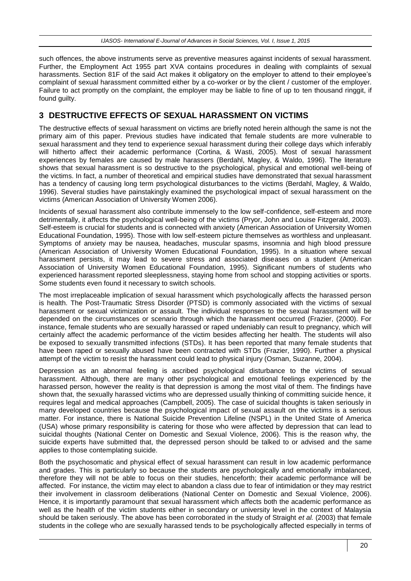such offences, the above instruments serve as preventive measures against incidents of sexual harassment. Further, the Employment Act 1955 part XVA contains procedures in dealing with complaints of sexual harassments. Section 81F of the said Act makes it obligatory on the employer to attend to their employee's complaint of sexual harassment committed either by a co-worker or by the client / customer of the employer. Failure to act promptly on the complaint, the employer may be liable to fine of up to ten thousand ringgit, if found guilty.

## **3 DESTRUCTIVE EFFECTS OF SEXUAL HARASSMENT ON VICTIMS**

The destructive effects of sexual harassment on victims are briefly noted herein although the same is not the primary aim of this paper. Previous studies have indicated that female students are more vulnerable to sexual harassment and they tend to experience sexual harassment during their college days which inferably will hitherto affect their academic performance (Cortina, & Wasti, 2005). Most of sexual harassment experiences by females are caused by male harassers (Berdahl, Magley, & Waldo, 1996). The literature shows that sexual harassment is so destructive to the psychological, physical and emotional well-being of the victims. In fact, a number of theoretical and empirical studies have demonstrated that sexual harassment has a tendency of causing long term psychological disturbances to the victims (Berdahl, Magley, & Waldo, 1996). Several studies have painstakingly examined the psychological impact of sexual harassment on the victims (American Association of University Women 2006).

Incidents of sexual harassment also contribute immensely to the low self-confidence, self-esteem and more detrimentally, it affects the psychological well-being of the victims (Pryor, John and Louise Fitzgerald, 2003). Self-esteem is crucial for students and is connected with anxiety (American Association of University Women Educational Foundation, 1995). Those with low self-esteem picture themselves as worthless and unpleasant. Symptoms of anxiety may be nausea, headaches, muscular spasms, insomnia and high blood pressure (American Association of University Women Educational Foundation, 1995). In a situation where sexual harassment persists, it may lead to severe stress and associated diseases on a student (American Association of University Women Educational Foundation, 1995). Significant numbers of students who experienced harassment reported sleeplessness, staying home from school and stopping activities or sports. Some students even found it necessary to switch schools.

The most irreplaceable implication of sexual harassment which psychologically affects the harassed person is health. The Post-Traumatic Stress Disorder (PTSD) is commonly associated with the victims of sexual harassment or sexual victimization or assault. The individual responses to the sexual harassment will be depended on the circumstances or scenario through which the harassment occurred (Frazier, (2000). For instance, female students who are sexually harassed or raped undeniably can result to pregnancy, which will certainly affect the academic performance of the victim besides affecting her health. The students will also be exposed to sexually transmitted infections (STDs). It has been reported that many female students that have been raped or sexually abused have been contracted with STDs (Frazier, 1990). Further a physical attempt of the victim to resist the harassment could lead to physical injury (Osman, Suzanne, 2004).

Depression as an abnormal feeling is ascribed psychological disturbance to the victims of sexual harassment. Although, there are many other psychological and emotional feelings experienced by the harassed person, however the reality is that depression is among the most vital of them. The findings have shown that, the sexually harassed victims who are depressed usually thinking of committing suicide hence, it requires legal and medical approaches (Campbell, 2005). The case of suicidal thoughts is taken seriously in many developed countries because the psychological impact of sexual assault on the victims is a serious matter. For instance, there is National Suicide Prevention Lifeline (NSPL) in the United State of America (USA) whose primary responsibility is catering for those who were affected by depression that can lead to suicidal thoughts (National Center on Domestic and Sexual Violence, 2006). This is the reason why, the suicide experts have submitted that, the depressed person should be talked to or advised and the same applies to those contemplating suicide.

Both the psychosomatic and physical effect of sexual harassment can result in low academic performance and grades. This is particularly so because the students are psychologically and emotionally imbalanced, therefore they will not be able to focus on their studies, henceforth; their academic performance will be affected. For instance, the victim may elect to abandon a class due to fear of intimidation or they may restrict their involvement in classroom deliberations (National Center on Domestic and Sexual Violence, 2006). Hence, it is importantly paramount that sexual harassment which affects both the academic performance as well as the health of the victim students either in secondary or university level in the context of Malaysia should be taken seriously. The above has been corroborated in the study of Straight *et al.* (2003) that female students in the college who are sexually harassed tends to be psychologically affected especially in terms of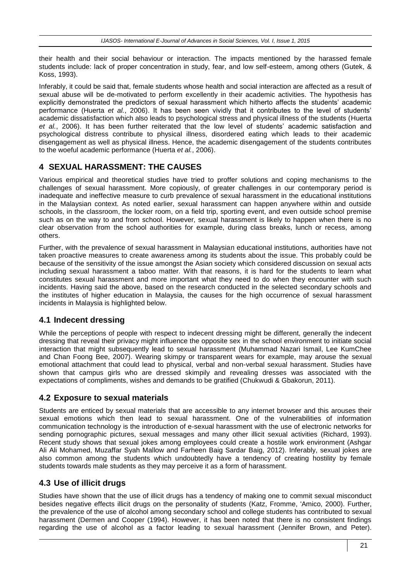their health and their social behaviour or interaction. The impacts mentioned by the harassed female students include: lack of proper concentration in study, fear, and low self-esteem, among others (Gutek, & Koss, 1993).

Inferably, it could be said that, female students whose health and social interaction are affected as a result of sexual abuse will be de-motivated to perform excellently in their academic activities. The hypothesis has explicitly demonstrated the predictors of sexual harassment which hitherto affects the students' academic performance (Huerta *et al.*, 2006). It has been seen vividly that it contributes to the level of students' academic dissatisfaction which also leads to psychological stress and physical illness of the students (Huerta *et al.*, 2006). It has been further reiterated that the low level of students' academic satisfaction and psychological distress contribute to physical illness, disordered eating which leads to their academic disengagement as well as physical illness. Hence, the academic disengagement of the students contributes to the woeful academic performance (Huerta *et al.*, 2006).

## **4 SEXUAL HARASSMENT: THE CAUSES**

Various empirical and theoretical studies have tried to proffer solutions and coping mechanisms to the challenges of sexual harassment. More copiously, of greater challenges in our contemporary period is inadequate and ineffective measure to curb prevalence of sexual harassment in the educational institutions in the Malaysian context. As noted earlier, sexual harassment can happen anywhere within and outside schools, in the classroom, the locker room, on a field trip, sporting event, and even outside school premise such as on the way to and from school. However, sexual harassment is likely to happen when there is no clear observation from the school authorities for example, during class breaks, lunch or recess, among others.

Further, with the prevalence of sexual harassment in Malaysian educational institutions, authorities have not taken proactive measures to create awareness among its students about the issue. This probably could be because of the sensitivity of the issue amongst the Asian society which considered discussion on sexual acts including sexual harassment a taboo matter. With that reasons, it is hard for the students to learn what constitutes sexual harassment and more important what they need to do when they encounter with such incidents. Having said the above, based on the research conducted in the selected secondary schools and the institutes of higher education in Malaysia, the causes for the high occurrence of sexual harassment incidents in Malaysia is highlighted below.

## **4.1 Indecent dressing**

While the perceptions of people with respect to indecent dressing might be different, generally the indecent dressing that reveal their privacy might influence the opposite sex in the school environment to initiate social interaction that might subsequently lead to sexual harassment (Muhammad Nazari Ismail, Lee KumChee and Chan Foong Bee, 2007). Wearing skimpy or transparent wears for example, may arouse the sexual emotional attachment that could lead to physical, verbal and non-verbal sexual harassment. Studies have shown that campus girls who are dressed skimpily and revealing dresses was associated with the expectations of compliments, wishes and demands to be gratified (Chukwudi & Gbakorun, 2011).

### **4.2 Exposure to sexual materials**

Students are enticed by sexual materials that are accessible to any internet browser and this arouses their sexual emotions which then lead to sexual harassment. One of the vulnerabilities of information communication technology is the introduction of e-sexual harassment with the use of electronic networks for sending pornographic pictures, sexual messages and many other illicit sexual activities (Richard, 1993). Recent study shows that sexual jokes among employees could create a hostile work environment (Ashgar Ali Ali Mohamed, Muzaffar Syah Mallow and Farheen Baig Sardar Baig, 2012). Inferably, sexual jokes are also common among the students which undoubtedly have a tendency of creating hostility by female students towards male students as they may perceive it as a form of harassment.

### **4.3 Use of illicit drugs**

Studies have shown that the use of illicit drugs has a tendency of making one to commit sexual misconduct besides negative effects illicit drugs on the personality of students (Katz, Fromme, 'Amico, 2000). Further, the prevalence of the use of alcohol among secondary school and college students has contributed to sexual harassment (Dermen and Cooper (1994). However, it has been noted that there is no consistent findings regarding the use of alcohol as a factor leading to sexual harassment [\(Jennifer Brown,](http://www.ncbi.nlm.nih.gov/pubmed/?term=Brown%20JL%5Bauth%5D) and [Peter\).](http://www.ncbi.nlm.nih.gov/pubmed/?term=Vanable%20PA%5Bauth%5D)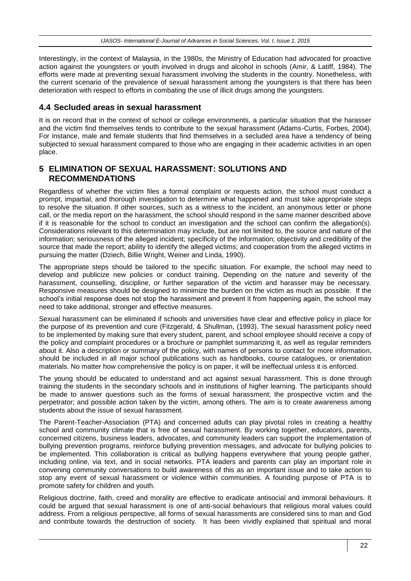Interestingly, in the context of Malaysia, in the 1980s, the Ministry of Education had advocated for proactive action against the youngsters or youth involved in drugs and alcohol in schools (Amir, & Latiff, 1984). The efforts were made at preventing sexual harassment involving the students in the country. Nonetheless, with the current scenario of the prevalence of sexual harassment among the youngsters is that there has been deterioration with respect to efforts in combating the use of illicit drugs among the youngsters.

#### **4.4 Secluded areas in sexual harassment**

It is on record that in the context of school or college environments, a particular situation that the harasser and the victim find themselves tends to contribute to the sexual harassment (Adams-Curtis, Forbes, 2004). For instance, male and female students that find themselves in a secluded area have a tendency of being subjected to sexual harassment compared to those who are engaging in their academic activities in an open place.

#### **5 ELIMINATION OF SEXUAL HARASSMENT: SOLUTIONS AND RECOMMENDATIONS**

Regardless of whether the victim files a formal complaint or requests action, the school must conduct a prompt, impartial, and thorough investigation to determine what happened and must take appropriate steps to resolve the situation. If other sources, such as a witness to the incident, an anonymous letter or phone call, or the media report on the harassment, the school should respond in the same manner described above if it is reasonable for the school to conduct an investigation and the school can confirm the allegation(s). Considerations relevant to this determination may include, but are not limited to, the source and nature of the information; seriousness of the alleged incident; specificity of the information; objectivity and credibility of the source that made the report; ability to identify the alleged victims; and cooperation from the alleged victims in pursuing the matter (Dziech, Billie Wright, Weiner and Linda, 1990).

The appropriate steps should be tailored to the specific situation. For example, the school may need to develop and publicize new policies or conduct training. Depending on the nature and severity of the harassment, counselling, discipline, or further separation of the victim and harasser may be necessary. Responsive measures should be designed to minimize the burden on the victim as much as possible. If the school's initial response does not stop the harassment and prevent it from happening again, the school may need to take additional, stronger and effective measures.

Sexual harassment can be eliminated if schools and universities have clear and effective policy in place for the purpose of its prevention and cure (Fitzgerald, & Shullman, (1993). The sexual harassment policy need to be implemented by making sure that every student, parent, and school employee should receive a copy of the policy and complaint procedures or a brochure or pamphlet summarizing it, as well as regular reminders about it. Also a description or summary of the policy, with names of persons to contact for more information, should be included in all major school publications such as handbooks, course catalogues, or orientation materials. No matter how comprehensive the policy is on paper, it will be ineffectual unless it is enforced.

The young should be educated to understand and act against sexual harassment. This is done through training the students in the secondary schools and in institutions of higher learning. The participants should be made to answer questions such as the forms of sexual harassment; the prospective victim and the perpetrator; and possible action taken by the victim, among others. The aim is to create awareness among students about the issue of sexual harassment.

The Parent-Teacher-Association (PTA) and concerned adults can play pivotal roles in creating a healthy school and community climate that is free of sexual harassment. By working together, educators, parents, concerned citizens, business leaders, advocates, and community leaders can support the implementation of bullying prevention programs, reinforce bullying prevention messages, and advocate for bullying policies to be implemented. This collaboration is critical as bullying happens everywhere that young people gather, including online, via text, and in social networks. PTA leaders and parents can play an important role in convening community conversations to build awareness of this as an important issue and to take action to stop any event of sexual harassment or violence within communities. A founding purpose of PTA is to promote safety for children and youth.

Religious doctrine, faith, creed and morality are effective to eradicate antisocial and immoral behaviours. It could be argued that sexual harassment is one of anti-social behaviours that religious moral values could address. From a religious perspective, all forms of sexual harassments are considered sins to man and God and contribute towards the destruction of society. It has been vividly explained that spiritual and moral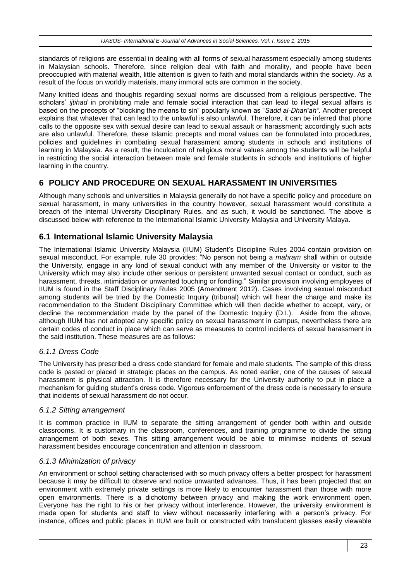standards of religions are essential in dealing with all forms of sexual harassment especially among students in Malaysian schools. Therefore, since religion deal with faith and morality, and people have been preoccupied with material wealth, little attention is given to faith and moral standards within the society. As a result of the focus on worldly materials, many immoral acts are common in the society.

Many knitted ideas and thoughts regarding sexual norms are discussed from a religious perspective. The scholars' *ijtihad* in prohibiting male and female social interaction that can lead to illegal sexual affairs is based on the precepts of "blocking the means to sin" popularly known as "*Sadd al-Dhari'ah".* Another precept explains that whatever that can lead to the unlawful is also unlawful. Therefore, it can be inferred that phone calls to the opposite sex with sexual desire can lead to sexual assault or harassment; accordingly such acts are also unlawful. Therefore, these Islamic precepts and moral values can be formulated into procedures, policies and guidelines in combating sexual harassment among students in schools and institutions of learning in Malaysia. As a result, the inculcation of religious moral values among the students will be helpful in restricting the social interaction between male and female students in schools and institutions of higher learning in the country.

### **6 POLICY AND PROCEDURE ON SEXUAL HARASSMENT IN UNIVERSITIES**

Although many schools and universities in Malaysia generally do not have a specific policy and procedure on sexual harassment, in many universities in the country however, sexual harassment would constitute a breach of the internal University Disciplinary Rules, and as such, it would be sanctioned. The above is discussed below with reference to the International Islamic University Malaysia and University Malaya.

### **6.1 International Islamic University Malaysia**

The International Islamic University Malaysia (IIUM) Student's Discipline Rules 2004 contain provision on sexual misconduct. For example, rule 30 provides: "No person not being a *mahram* shall within or outside the University, engage in any kind of sexual conduct with any member of the University or visitor to the University which may also include other serious or persistent unwanted sexual contact or conduct, such as harassment, threats, intimidation or unwanted touching or fondling." Similar provision involving employees of IIUM is found in the Staff Disciplinary Rules 2005 (Amendment 2012). Cases involving sexual misconduct among students will be tried by the Domestic Inquiry (tribunal) which will hear the charge and make its recommendation to the Student Disciplinary Committee which will then decide whether to accept, vary, or decline the recommendation made by the panel of the Domestic Inquiry (D.I.). Aside from the above, although IIUM has not adopted any specific policy on sexual harassment in campus, nevertheless there are certain codes of conduct in place which can serve as measures to control incidents of sexual harassment in the said institution. These measures are as follows:

#### *6.1.1 Dress Code*

The University has prescribed a dress code standard for female and male students. The sample of this dress code is pasted or placed in strategic places on the campus. As noted earlier, one of the causes of sexual harassment is physical attraction. It is therefore necessary for the University authority to put in place a mechanism for guiding student's dress code. Vigorous enforcement of the dress code is necessary to ensure that incidents of sexual harassment do not occur.

#### *6.1.2 Sitting arrangement*

It is common practice in IIUM to separate the sitting arrangement of gender both within and outside classrooms. It is customary in the classroom, conferences, and training programme to divide the sitting arrangement of both sexes. This sitting arrangement would be able to minimise incidents of sexual harassment besides encourage concentration and attention in classroom.

#### *6.1.3 Minimization of privacy*

An environment or school setting characterised with so much privacy offers a better prospect for harassment because it may be difficult to observe and notice unwanted advances. Thus, it has been projected that an environment with extremely private settings is more likely to encounter harassment than those with more open environments. There is a dichotomy between privacy and making the work environment open. Everyone has the right to his or her privacy without interference. However, the university environment is made open for students and staff to view without necessarily interfering with a person's privacy. For instance, offices and public places in IIUM are built or constructed with translucent glasses easily viewable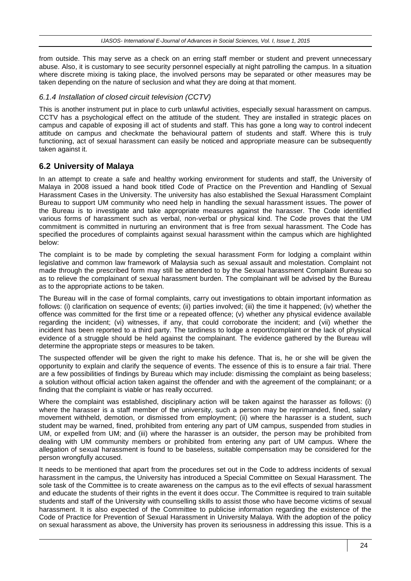from outside. This may serve as a check on an erring staff member or student and prevent unnecessary abuse. Also, it is customary to see security personnel especially at night patrolling the campus. In a situation where discrete mixing is taking place, the involved persons may be separated or other measures may be taken depending on the nature of seclusion and what they are doing at that moment.

#### *6.1.4 Installation of closed circuit television (CCTV)*

This is another instrument put in place to curb unlawful activities, especially sexual harassment on campus. CCTV has a psychological effect on the attitude of the student. They are installed in strategic places on campus and capable of exposing ill act of students and staff. This has gone a long way to control indecent attitude on campus and checkmate the behavioural pattern of students and staff. Where this is truly functioning, act of sexual harassment can easily be noticed and appropriate measure can be subsequently taken against it.

### **6.2 University of Malaya**

In an attempt to create a safe and healthy working environment for students and staff, the University of Malaya in 2008 issued a hand book titled Code of Practice on the Prevention and Handling of Sexual Harassment Cases in the University. The university has also established the Sexual Harassment Complaint Bureau to support UM community who need help in handling the sexual harassment issues. The power of the Bureau is to investigate and take appropriate measures against the harasser. The Code identified various forms of harassment such as verbal, non-verbal or physical kind. The Code proves that the UM commitment is committed in nurturing an environment that is free from sexual harassment. The Code has specified the procedures of complaints against sexual harassment within the campus which are highlighted below:

The complaint is to be made by completing the sexual harassment Form for lodging a complaint within legislative and common law framework of Malaysia such as sexual assault and molestation. Complaint not made through the prescribed form may still be attended to by the Sexual harassment Complaint Bureau so as to relieve the complainant of sexual harassment burden. The complainant will be advised by the Bureau as to the appropriate actions to be taken.

The Bureau will in the case of formal complaints, carry out investigations to obtain important information as follows: (i) clarification on sequence of events; (ii) parties involved; (iii) the time it happened; (iv) whether the offence was committed for the first time or a repeated offence; (v) whether any physical evidence available regarding the incident; (vi) witnesses, if any, that could corroborate the incident; and (vii) whether the incident has been reported to a third party. The tardiness to lodge a report/complaint or the lack of physical evidence of a struggle should be held against the complainant. The evidence gathered by the Bureau will determine the appropriate steps or measures to be taken.

The suspected offender will be given the right to make his defence. That is, he or she will be given the opportunity to explain and clarify the sequence of events. The essence of this is to ensure a fair trial. There are a few possibilities of findings by Bureau which may include: dismissing the complaint as being baseless; a solution without official action taken against the offender and with the agreement of the complainant; or a finding that the complaint is viable or has really occurred.

Where the complaint was established, disciplinary action will be taken against the harasser as follows: (i) where the harasser is a staff member of the university, such a person may be reprimanded, fined, salary movement withheld, demotion, or dismissed from employment; (ii) where the harasser is a student, such student may be warned, fined, prohibited from entering any part of UM campus, suspended from studies in UM, or expelled from UM; and (iii) where the harasser is an outsider, the person may be prohibited from dealing with UM community members or prohibited from entering any part of UM campus. Where the allegation of sexual harassment is found to be baseless, suitable compensation may be considered for the person wrongfully accused.

It needs to be mentioned that apart from the procedures set out in the Code to address incidents of sexual harassment in the campus, the University has introduced a Special Committee on Sexual Harassment. The sole task of the Committee is to create awareness on the campus as to the evil effects of sexual harassment and educate the students of their rights in the event it does occur. The Committee is required to train suitable students and staff of the University with counselling skills to assist those who have become victims of sexual harassment. It is also expected of the Committee to publicise information regarding the existence of the Code of Practice for Prevention of Sexual Harassment in University Malaya. With the adoption of the policy on sexual harassment as above, the University has proven its seriousness in addressing this issue. This is a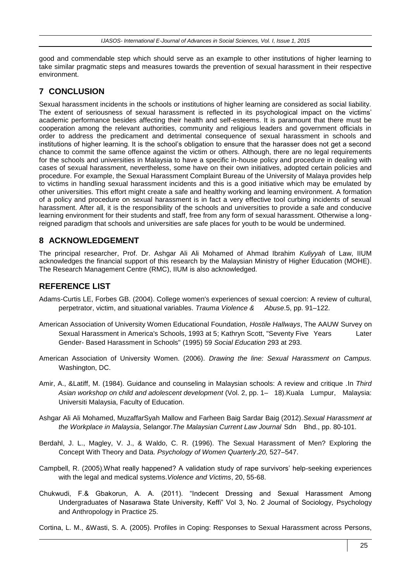good and commendable step which should serve as an example to other institutions of higher learning to take similar pragmatic steps and measures towards the prevention of sexual harassment in their respective environment.

## **7 CONCLUSION**

Sexual harassment incidents in the schools or institutions of higher learning are considered as social liability. The extent of seriousness of sexual harassment is reflected in its psychological impact on the victims' academic performance besides affecting their health and self-esteems. It is paramount that there must be cooperation among the relevant authorities, community and religious leaders and government officials in order to address the predicament and detrimental consequence of sexual harassment in schools and institutions of higher learning. It is the school's obligation to ensure that the harasser does not get a second chance to commit the same offence against the victim or others. Although, there are no legal requirements for the schools and universities in Malaysia to have a specific in-house policy and procedure in dealing with cases of sexual harassment, nevertheless, some have on their own initiatives, adopted certain policies and procedure. For example, the Sexual Harassment Complaint Bureau of the University of Malaya provides help to victims in handling sexual harassment incidents and this is a good initiative which may be emulated by other universities. This effort might create a safe and healthy working and learning environment. A formation of a policy and procedure on sexual harassment is in fact a very effective tool curbing incidents of sexual harassment. After all, it is the responsibility of the schools and universities to provide a safe and conducive learning environment for their students and staff, free from any form of sexual harassment. Otherwise a longreigned paradigm that schools and universities are safe places for youth to be would be undermined.

## **8 ACKNOWLEDGEMENT**

The principal researcher, Prof. Dr. Ashgar Ali Ali Mohamed of Ahmad Ibrahim *Kuliyyah* of Law, IIUM acknowledges the financial support of this research by the Malaysian Ministry of Higher Education (MOHE). The Research Management Centre (RMC), IIUM is also acknowledged.

### **REFERENCE LIST**

- Adams-Curtis LE, Forbes GB. (2004). College women's experiences of sexual coercion: A review of cultural, perpetrator, victim, and situational variables. *Trauma Violence & Abuse*.5, pp. 91–122.
- American Association of University Women Educational Foundation, *Hostile Hallways*, The AAUW Survey on Sexual Harassment in America's Schools, 1993 at 5; Kathryn Scott, "Seventy Five Years Later Gender- Based Harassment in Schools" (1995) 59 *Social Education* 293 at 293.
- American Association of University Women. (2006). *Drawing the line: Sexual Harassment on Campus.*  Washington, DC.
- Amir, A., &Latiff, M. (1984). Guidance and counseling in Malaysian schools: A review and critique *.*In *Third Asian workshop on child and adolescent development* (Vol. 2, pp. 1– 18).Kuala Lumpur, Malaysia: Universiti Malaysia, Faculty of Education.
- Ashgar Ali Ali Mohamed, MuzaffarSyah Mallow and Farheen Baig Sardar Baig (2012).*Sexual Harassment at the Workplace in Malaysia*, Selangor.*The Malaysian Current Law Journal* Sdn Bhd., pp. 80-101.
- Berdahl, J. L., Magley, V. J., & Waldo, C. R. (1996). The Sexual Harassment of Men? Exploring the Concept With Theory and Data. *Psychology of Women Quarterly*.*20,* 527–547.
- Campbell, R. (2005).What really happened? A validation study of rape survivors' help-seeking experiences with the legal and medical systems.*Violence and Victims*, 20, 55-68.
- Chukwudi, F.& Gbakorun, A. A. (2011). "Indecent Dressing and Sexual Harassment Among Undergraduates of Nasarawa State University, Keffi" Vol 3, No. 2 Journal of Sociology, Psychology and Anthropology in Practice 25.

Cortina, L. M., &Wasti, S. A. (2005). Profiles in Coping: Responses to Sexual Harassment across Persons,